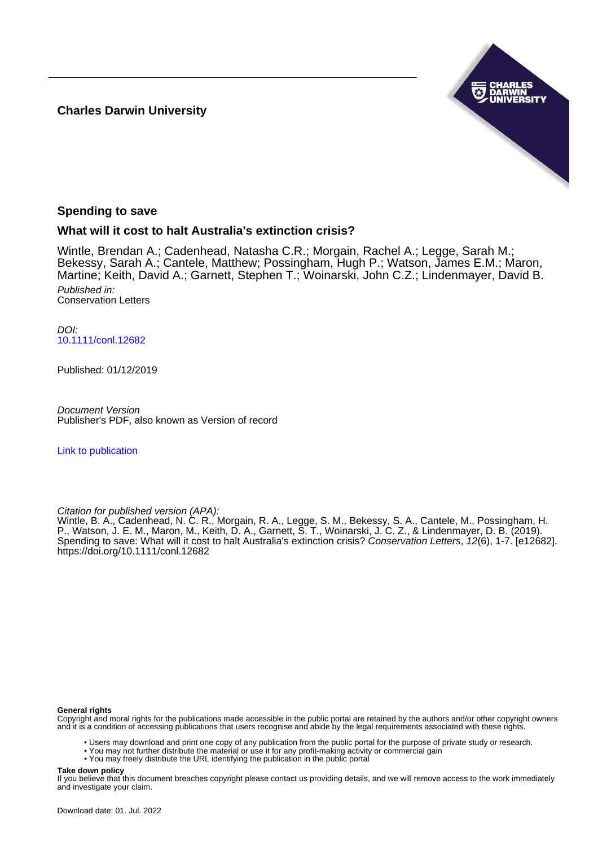# **Charles Darwin University**



# **Spending to save**

# **What will it cost to halt Australia's extinction crisis?**

Wintle, Brendan A.; Cadenhead, Natasha C.R.; Morgain, Rachel A.; Legge, Sarah M.; Bekessy, Sarah A.; Cantele, Matthew; Possingham, Hugh P.; Watson, James E.M.; Maron, Martine; Keith, David A.; Garnett, Stephen T.; Woinarski, John C.Z.; Lindenmayer, David B. Published in: Conservation Letters

DOI: [10.1111/conl.12682](https://doi.org/10.1111/conl.12682)

Published: 01/12/2019

Document Version Publisher's PDF, also known as Version of record

[Link to publication](https://researchers.cdu.edu.au/en/publications/68b7aef2-b0ca-4c72-8746-6fe237707e79)

Citation for published version (APA):

Wintle, B. A., Cadenhead, N. C. R., Morgain, R. A., Legge, S. M., Bekessy, S. A., Cantele, M., Possingham, H. P., Watson, J. E. M., Maron, M., Keith, D. A., Garnett, S. T., Woinarski, J. C. Z., & Lindenmayer, D. B. (2019). Spending to save: What will it cost to halt Australia's extinction crisis? Conservation Letters, 12(6), 1-7. [e12682]. <https://doi.org/10.1111/conl.12682>

### **General rights**

Copyright and moral rights for the publications made accessible in the public portal are retained by the authors and/or other copyright owners and it is a condition of accessing publications that users recognise and abide by the legal requirements associated with these rights.

• Users may download and print one copy of any publication from the public portal for the purpose of private study or research.

• You may not further distribute the material or use it for any profit-making activity or commercial gain

• You may freely distribute the URL identifying the publication in the public portal

**Take down policy**

If you believe that this document breaches copyright please contact us providing details, and we will remove access to the work immediately and investigate your claim.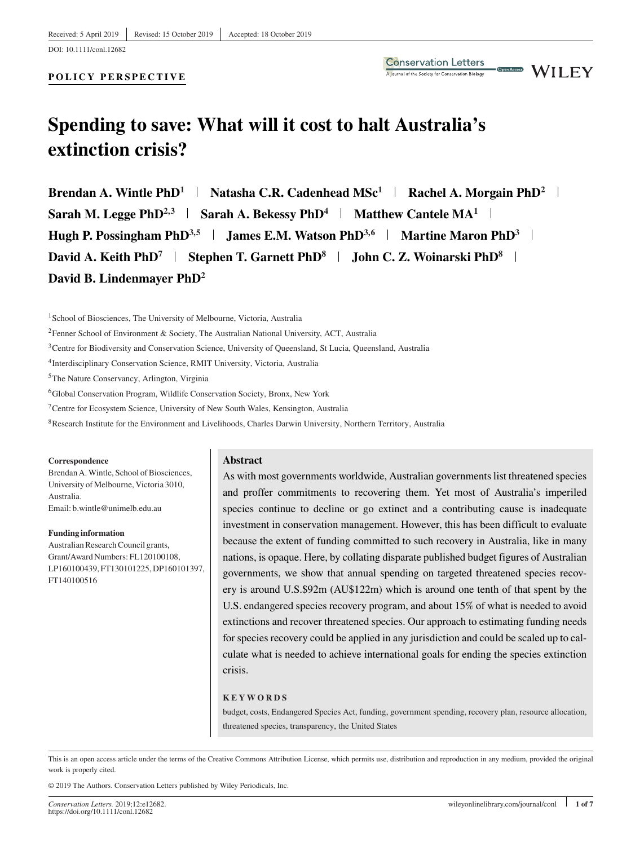### **POLICY PERSPECTIVE**





# **Spending to save: What will it cost to halt Australia's extinction crisis?**

**Brendan A. Wintle PhD<sup>1</sup> | Natasha C.R. Cadenhead MSc<sup>1</sup> | Rachel A. Morgain PhD<sup>2</sup> | Sarah M. Legge PhD<sup>2,3</sup> | Sarah A. Bekessy PhD<sup>4</sup> | Matthew Cantele MA<sup>1</sup> | Hugh P. Possingham PhD**<sup>3,5</sup> **James E.M. Watson PhD**<sup>3,6</sup> **Martine Maron PhD**<sup>3</sup> **David A. Keith PhD<sup>7</sup> | Stephen T. Garnett PhD<sup>8</sup> | John C. Z. Woinarski PhD<sup>8</sup> | David B. Lindenmayer PhD2**

<sup>1</sup>School of Biosciences, The University of Melbourne, Victoria, Australia

2Fenner School of Environment & Society, The Australian National University, ACT, Australia

<sup>3</sup>Centre for Biodiversity and Conservation Science, University of Queensland, St Lucia, Queensland, Australia

4Interdisciplinary Conservation Science, RMIT University, Victoria, Australia

5The Nature Conservancy, Arlington, Virginia

6Global Conservation Program, Wildlife Conservation Society, Bronx, New York

7Centre for Ecosystem Science, University of New South Wales, Kensington, Australia

8Research Institute for the Environment and Livelihoods, Charles Darwin University, Northern Territory, Australia

#### **Correspondence**

Brendan A.Wintle, School of Biosciences, University of Melbourne, Victoria 3010, Australia. Email: b.wintle@unimelb.edu.au

**Funding information** Australian Research Council grants, Grant/Award Numbers: FL120100108, LP160100439, FT130101225, DP160101397, FT140100516

#### **Abstract**

As with most governments worldwide, Australian governments list threatened species and proffer commitments to recovering them. Yet most of Australia's imperiled species continue to decline or go extinct and a contributing cause is inadequate investment in conservation management. However, this has been difficult to evaluate because the extent of funding committed to such recovery in Australia, like in many nations, is opaque. Here, by collating disparate published budget figures of Australian governments, we show that annual spending on targeted threatened species recovery is around U.S.\$92m (AU\$122m) which is around one tenth of that spent by the U.S. endangered species recovery program, and about 15% of what is needed to avoid extinctions and recover threatened species. Our approach to estimating funding needs for species recovery could be applied in any jurisdiction and could be scaled up to calculate what is needed to achieve international goals for ending the species extinction crisis.

#### **KEYWORDS**

budget, costs, Endangered Species Act, funding, government spending, recovery plan, resource allocation, threatened species, transparency, the United States

This is an open access article under the terms of the [Creative Commons Attribution](http://creativecommons.org/licenses/by/4.0/) License, which permits use, distribution and reproduction in any medium, provided the original work is properly cited.

© 2019 The Authors. Conservation Letters published by Wiley Periodicals, Inc.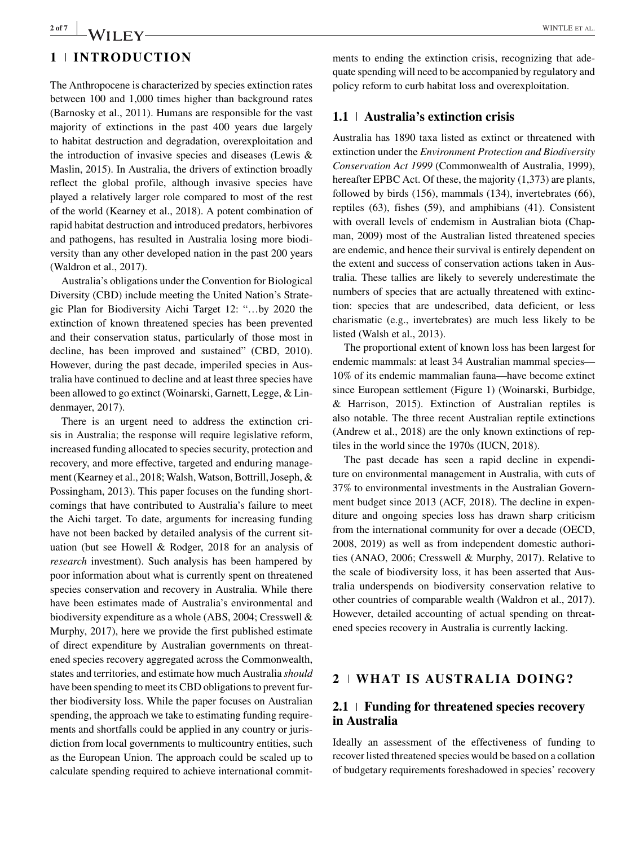# 2 of 7 **WINTLE ET AL.** WINTLE ET AL.

# **1 INTRODUCTION**

The Anthropocene is characterized by species extinction rates between 100 and 1,000 times higher than background rates (Barnosky et al., 2011). Humans are responsible for the vast majority of extinctions in the past 400 years due largely to habitat destruction and degradation, overexploitation and the introduction of invasive species and diseases (Lewis & Maslin, 2015). In Australia, the drivers of extinction broadly reflect the global profile, although invasive species have played a relatively larger role compared to most of the rest of the world (Kearney et al., 2018). A potent combination of rapid habitat destruction and introduced predators, herbivores and pathogens, has resulted in Australia losing more biodiversity than any other developed nation in the past 200 years (Waldron et al., 2017).

Australia's obligations under the Convention for Biological Diversity (CBD) include meeting the United Nation's Strategic Plan for Biodiversity Aichi Target 12: "…by 2020 the extinction of known threatened species has been prevented and their conservation status, particularly of those most in decline, has been improved and sustained" (CBD, 2010). However, during the past decade, imperiled species in Australia have continued to decline and at least three species have been allowed to go extinct (Woinarski, Garnett, Legge, & Lindenmayer, 2017).

There is an urgent need to address the extinction crisis in Australia; the response will require legislative reform, increased funding allocated to species security, protection and recovery, and more effective, targeted and enduring management (Kearney et al., 2018; Walsh, Watson, Bottrill, Joseph, & Possingham, 2013). This paper focuses on the funding shortcomings that have contributed to Australia's failure to meet the Aichi target. To date, arguments for increasing funding have not been backed by detailed analysis of the current situation (but see Howell & Rodger, 2018 for an analysis of *research* investment). Such analysis has been hampered by poor information about what is currently spent on threatened species conservation and recovery in Australia. While there have been estimates made of Australia's environmental and biodiversity expenditure as a whole (ABS, 2004; Cresswell & Murphy, 2017), here we provide the first published estimate of direct expenditure by Australian governments on threatened species recovery aggregated across the Commonwealth, states and territories, and estimate how much Australia *should* have been spending to meet its CBD obligations to prevent further biodiversity loss. While the paper focuses on Australian spending, the approach we take to estimating funding requirements and shortfalls could be applied in any country or jurisdiction from local governments to multicountry entities, such as the European Union. The approach could be scaled up to calculate spending required to achieve international commitments to ending the extinction crisis, recognizing that adequate spending will need to be accompanied by regulatory and policy reform to curb habitat loss and overexploitation.

## **1.1 Australia's extinction crisis**

Australia has 1890 taxa listed as extinct or threatened with extinction under the *Environment Protection and Biodiversity Conservation Act 1999* (Commonwealth of Australia, 1999), hereafter EPBC Act. Of these, the majority (1,373) are plants, followed by birds (156), mammals (134), invertebrates (66), reptiles (63), fishes (59), and amphibians (41). Consistent with overall levels of endemism in Australian biota (Chapman, 2009) most of the Australian listed threatened species are endemic, and hence their survival is entirely dependent on the extent and success of conservation actions taken in Australia. These tallies are likely to severely underestimate the numbers of species that are actually threatened with extinction: species that are undescribed, data deficient, or less charismatic (e.g., invertebrates) are much less likely to be listed (Walsh et al., 2013).

The proportional extent of known loss has been largest for endemic mammals: at least 34 Australian mammal species— 10% of its endemic mammalian fauna—have become extinct since European settlement (Figure 1) (Woinarski, Burbidge, & Harrison, 2015). Extinction of Australian reptiles is also notable. The three recent Australian reptile extinctions (Andrew et al., 2018) are the only known extinctions of reptiles in the world since the 1970s (IUCN, 2018).

The past decade has seen a rapid decline in expenditure on environmental management in Australia, with cuts of 37% to environmental investments in the Australian Government budget since 2013 (ACF, 2018). The decline in expenditure and ongoing species loss has drawn sharp criticism from the international community for over a decade (OECD, 2008, 2019) as well as from independent domestic authorities (ANAO, 2006; Cresswell & Murphy, 2017). Relative to the scale of biodiversity loss, it has been asserted that Australia underspends on biodiversity conservation relative to other countries of comparable wealth (Waldron et al., 2017). However, detailed accounting of actual spending on threatened species recovery in Australia is currently lacking.

# **2 WHAT IS AUSTRALIA DOING?**

## **2.1 Funding for threatened species recovery in Australia**

Ideally an assessment of the effectiveness of funding to recover listed threatened species would be based on a collation of budgetary requirements foreshadowed in species' recovery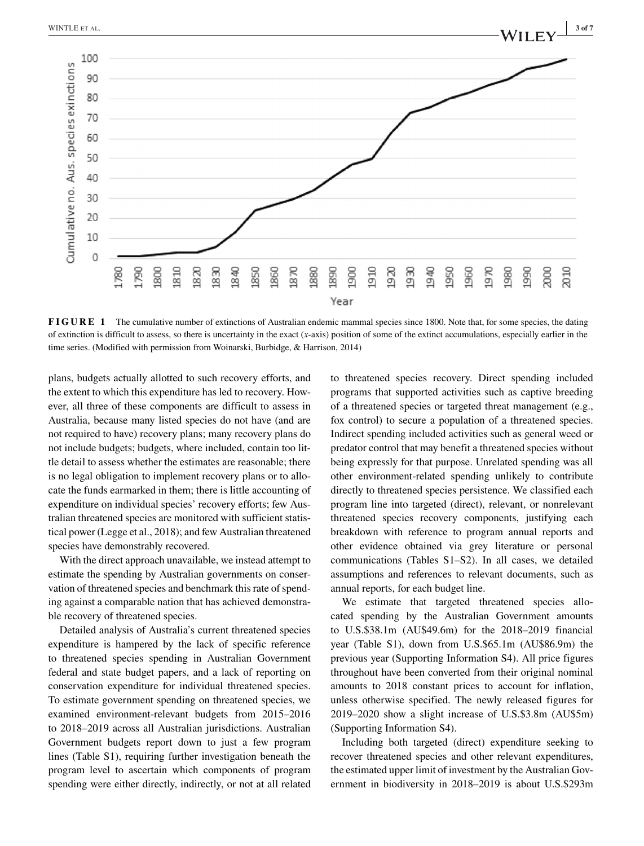

**FIGURE 1** The cumulative number of extinctions of Australian endemic mammal species since 1800. Note that, for some species, the dating of extinction is difficult to assess, so there is uncertainty in the exact (*x*-axis) position of some of the extinct accumulations, especially earlier in the time series. (Modified with permission from Woinarski, Burbidge, & Harrison, 2014)

plans, budgets actually allotted to such recovery efforts, and the extent to which this expenditure has led to recovery. However, all three of these components are difficult to assess in Australia, because many listed species do not have (and are not required to have) recovery plans; many recovery plans do not include budgets; budgets, where included, contain too little detail to assess whether the estimates are reasonable; there is no legal obligation to implement recovery plans or to allocate the funds earmarked in them; there is little accounting of expenditure on individual species' recovery efforts; few Australian threatened species are monitored with sufficient statistical power (Legge et al., 2018); and few Australian threatened species have demonstrably recovered.

With the direct approach unavailable, we instead attempt to estimate the spending by Australian governments on conservation of threatened species and benchmark this rate of spending against a comparable nation that has achieved demonstrable recovery of threatened species.

Detailed analysis of Australia's current threatened species expenditure is hampered by the lack of specific reference to threatened species spending in Australian Government federal and state budget papers, and a lack of reporting on conservation expenditure for individual threatened species. To estimate government spending on threatened species, we examined environment-relevant budgets from 2015–2016 to 2018–2019 across all Australian jurisdictions. Australian Government budgets report down to just a few program lines (Table S1), requiring further investigation beneath the program level to ascertain which components of program spending were either directly, indirectly, or not at all related to threatened species recovery. Direct spending included programs that supported activities such as captive breeding of a threatened species or targeted threat management (e.g., fox control) to secure a population of a threatened species. Indirect spending included activities such as general weed or predator control that may benefit a threatened species without being expressly for that purpose. Unrelated spending was all other environment-related spending unlikely to contribute directly to threatened species persistence. We classified each program line into targeted (direct), relevant, or nonrelevant threatened species recovery components, justifying each breakdown with reference to program annual reports and other evidence obtained via grey literature or personal communications (Tables S1–S2). In all cases, we detailed assumptions and references to relevant documents, such as annual reports, for each budget line.

We estimate that targeted threatened species allocated spending by the Australian Government amounts to U.S.\$38.1m (AU\$49.6m) for the 2018–2019 financial year (Table S1), down from U.S.\$65.1m (AU\$86.9m) the previous year (Supporting Information S4). All price figures throughout have been converted from their original nominal amounts to 2018 constant prices to account for inflation, unless otherwise specified. The newly released figures for 2019–2020 show a slight increase of U.S.\$3.8m (AU\$5m) (Supporting Information S4).

Including both targeted (direct) expenditure seeking to recover threatened species and other relevant expenditures, the estimated upper limit of investment by the Australian Government in biodiversity in 2018–2019 is about U.S.\$293m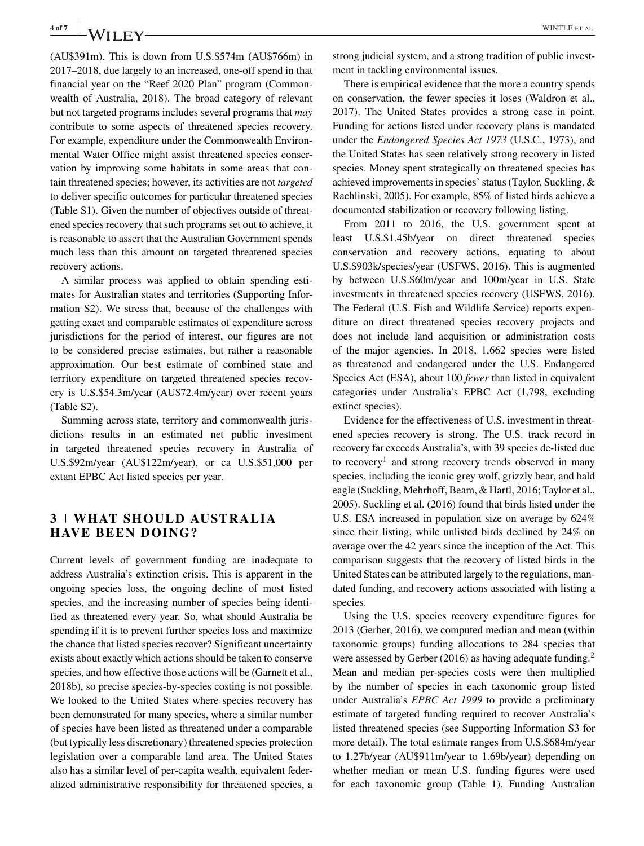(AU\$391m). This is down from U.S.\$574m (AU\$766m) in 2017–2018, due largely to an increased, one-off spend in that financial year on the "Reef 2020 Plan" program (Commonwealth of Australia, 2018). The broad category of relevant but not targeted programs includes several programs that *may* contribute to some aspects of threatened species recovery. For example, expenditure under the Commonwealth Environmental Water Office might assist threatened species conservation by improving some habitats in some areas that contain threatened species; however, its activities are not *targeted* to deliver specific outcomes for particular threatened species (Table S1). Given the number of objectives outside of threatened species recovery that such programs set out to achieve, it is reasonable to assert that the Australian Government spends much less than this amount on targeted threatened species recovery actions.

A similar process was applied to obtain spending estimates for Australian states and territories (Supporting Information S2). We stress that, because of the challenges with getting exact and comparable estimates of expenditure across jurisdictions for the period of interest, our figures are not to be considered precise estimates, but rather a reasonable approximation. Our best estimate of combined state and territory expenditure on targeted threatened species recovery is U.S.\$54.3m/year (AU\$72.4m/year) over recent years (Table S2).

Summing across state, territory and commonwealth jurisdictions results in an estimated net public investment in targeted threatened species recovery in Australia of U.S.\$92m/year (AU\$122m/year), or ca U.S.\$51,000 per extant EPBC Act listed species per year.

# **3 WHAT SHOULD AUSTRALIA HAVE BEEN DOING?**

Current levels of government funding are inadequate to address Australia's extinction crisis. This is apparent in the ongoing species loss, the ongoing decline of most listed species, and the increasing number of species being identified as threatened every year. So, what should Australia be spending if it is to prevent further species loss and maximize the chance that listed species recover? Significant uncertainty exists about exactly which actions should be taken to conserve species, and how effective those actions will be (Garnett et al., 2018b), so precise species-by-species costing is not possible. We looked to the United States where species recovery has been demonstrated for many species, where a similar number of species have been listed as threatened under a comparable (but typically less discretionary) threatened species protection legislation over a comparable land area. The United States also has a similar level of per-capita wealth, equivalent federalized administrative responsibility for threatened species, a

strong judicial system, and a strong tradition of public investment in tackling environmental issues.

There is empirical evidence that the more a country spends on conservation, the fewer species it loses (Waldron et al., 2017). The United States provides a strong case in point. Funding for actions listed under recovery plans is mandated under the *Endangered Species Act 1973* (U.S.C., 1973), and the United States has seen relatively strong recovery in listed species. Money spent strategically on threatened species has achieved improvements in species' status (Taylor, Suckling, & Rachlinski, 2005). For example, 85% of listed birds achieve a documented stabilization or recovery following listing.

From 2011 to 2016, the U.S. government spent at least U.S.\$1.45b/year on direct threatened species conservation and recovery actions, equating to about U.S.\$903k/species/year (USFWS, 2016). This is augmented by between U.S.\$60m/year and 100m/year in U.S. State investments in threatened species recovery (USFWS, 2016). The Federal (U.S. Fish and Wildlife Service) reports expenditure on direct threatened species recovery projects and does not include land acquisition or administration costs of the major agencies. In 2018, 1,662 species were listed as threatened and endangered under the U.S. Endangered Species Act (ESA), about 100 *fewer* than listed in equivalent categories under Australia's EPBC Act (1,798, excluding extinct species).

Evidence for the effectiveness of U.S. investment in threatened species recovery is strong. The U.S. track record in recovery far exceeds Australia's, with 39 species de-listed due to recovery<sup>1</sup> and strong recovery trends observed in many species, including the iconic grey wolf, grizzly bear, and bald eagle (Suckling, Mehrhoff, Beam, & Hartl, 2016; Taylor et al., 2005). Suckling et al. (2016) found that birds listed under the U.S. ESA increased in population size on average by 624% since their listing, while unlisted birds declined by 24% on average over the 42 years since the inception of the Act. This comparison suggests that the recovery of listed birds in the United States can be attributed largely to the regulations, mandated funding, and recovery actions associated with listing a species.

Using the U.S. species recovery expenditure figures for 2013 (Gerber, 2016), we computed median and mean (within taxonomic groups) funding allocations to 284 species that were assessed by Gerber (2016) as having adequate funding.<sup>2</sup> Mean and median per-species costs were then multiplied by the number of species in each taxonomic group listed under Australia's *EPBC Act 1999* to provide a preliminary estimate of targeted funding required to recover Australia's listed threatened species (see Supporting Information S3 for more detail). The total estimate ranges from U.S.\$684m/year to 1.27b/year (AU\$911m/year to 1.69b/year) depending on whether median or mean U.S. funding figures were used for each taxonomic group (Table 1). Funding Australian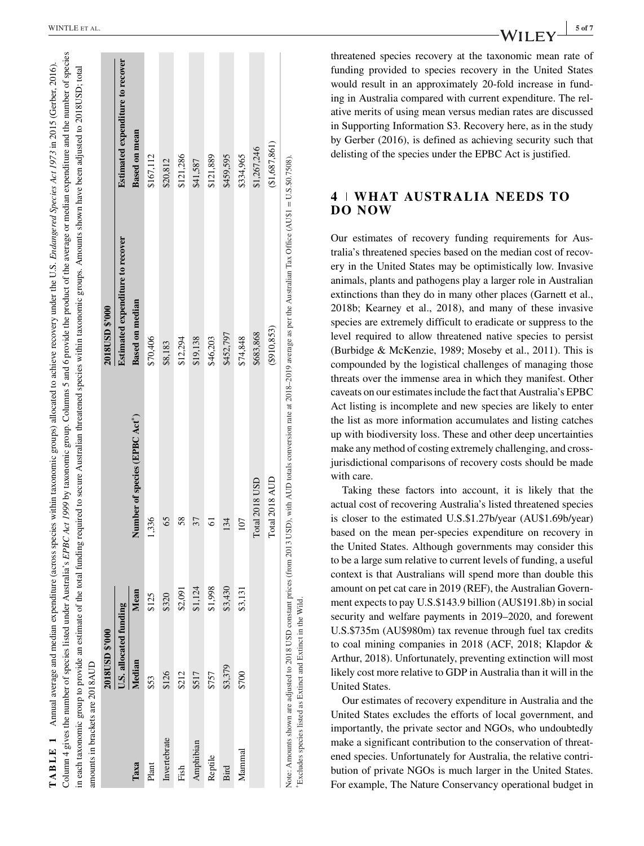| \$1,124<br>\$2,091<br>Mean<br>\$125<br>\$320<br>U.S. allocated funding<br>Median<br>\$126<br>\$212<br>\$517<br>\$53<br>Invertebrate<br>Amphibian<br>Таха<br>Plant<br>Fish | Number of species (EPBC Act <sup>*</sup> ) |                                  |                                         |
|---------------------------------------------------------------------------------------------------------------------------------------------------------------------------|--------------------------------------------|----------------------------------|-----------------------------------------|
|                                                                                                                                                                           |                                            | Estimated expenditure to recover | <b>Estimated expenditure to recover</b> |
|                                                                                                                                                                           |                                            | <b>Based on median</b>           | <b>Based on mean</b>                    |
|                                                                                                                                                                           | 336                                        | \$70,406                         | \$167,112                               |
|                                                                                                                                                                           | 65                                         | \$8,183                          | \$20,812                                |
|                                                                                                                                                                           | 58                                         | \$12,294                         | \$121,286                               |
|                                                                                                                                                                           | 37                                         | \$19,138                         | \$41,587                                |
| \$1,998<br>\$757<br>Reptile                                                                                                                                               | 5                                          | \$46,203                         | \$121,889                               |
| \$3,430<br>\$3,379<br>Bird                                                                                                                                                | 134                                        | \$452,797                        | \$459,595                               |
| \$3,131<br>\$700<br>Mammal                                                                                                                                                | 107                                        | \$74,848                         | \$334,965                               |
|                                                                                                                                                                           | Total 2018 USD                             | \$683,868                        | \$1,267,246                             |
|                                                                                                                                                                           | Total 2018 AUD                             | (\$910, 853)                     | (\$1,687,861)                           |

TABLE 1 Annual average and median expenditure (across species within taxonomic groups) allocated to achieve recovery under the U.S. Endangered Species Act 1973 in 2015 (Gerber, 2016) Column 4 gives the number of species listed under Australia's *EPBC Act 1999* by taxonomic group. Columns 5 and 6 provide the product of the average or median expenditure and the number of species

**TABLE 1** 

Annual average and median expenditure (across species within taxonomic groups) allocated to achieve recovery under the U.S. Endangered Species Act 1973 in 2015 (Gerber, 2016).

Column 4 gives the number of species listed under Australia's *EPBC Act 1999* by taxonomic group. Columns 5 and 6 provide the product of the average or median expenditure and the number of species

threatened species recovery at the taxonomic mean rate of funding provided to species recovery in the United States would result in an approximately 20-fold increase in funding in Australia compared with current expenditure. The relative merits of using mean versus median rates are discussed in Supporting Information S3. Recovery here, as in the study by Gerber (2016), is defined as achieving security such that delisting of the species under the EPBC Act is justified.

# **4 WHAT AUSTRALIA NEEDS TO DO NOW**

Our estimates of recovery funding requirements for Australia's threatened species based on the median cost of recovery in the United States may be optimistically low. Invasive animals, plants and pathogens play a larger role in Australian extinctions than they do in many other places (Garnett et al., 2018b; Kearney et al., 2018), and many of these invasive species are extremely difficult to eradicate or suppress to the level required to allow threatened native species to persist (Burbidge & McKenzie, 1989; Moseby et al., 2011). This is compounded by the logistical challenges of managing those threats over the immense area in which they manifest. Other caveats on our estimates include the fact that Australia's EPBC Act listing is incomplete and new species are likely to enter the list as more information accumulates and listing catches up with biodiversity loss. These and other deep uncertainties make any method of costing extremely challenging, and crossjurisdictional comparisons of recovery costs should be made with care.

Taking these factors into account, it is likely that the actual cost of recovering Australia's listed threatened species is closer to the estimated U.S.\$1.27b/year (AU\$1.69b/year) based on the mean per-species expenditure on recovery in the United States. Although governments may consider this to be a large sum relative to current levels of funding, a useful context is that Australians will spend more than double this amount on pet cat care in 2019 (REF), the Australian Government expects to pay U.S.\$143.9 billion (AU\$191.8b) in social security and welfare payments in 2019–2020, and forewent U.S.\$735m (AU\$980m) tax revenue through fuel tax credits to coal mining companies in 2018 (ACF, 2018; Klapdor & Arthur, 2018). Unfortunately, preventing extinction will most likely cost more relative to GDP in Australia than it will in the United States.

Our estimates of recovery expenditure in Australia and the United States excludes the efforts of local government, and importantly, the private sector and NGOs, who undoubtedly make a significant contribution to the conservation of threatened species. Unfortunately for Australia, the relative contribution of private NGOs is much larger in the United States. For example, The Nature Conservancy operational budget in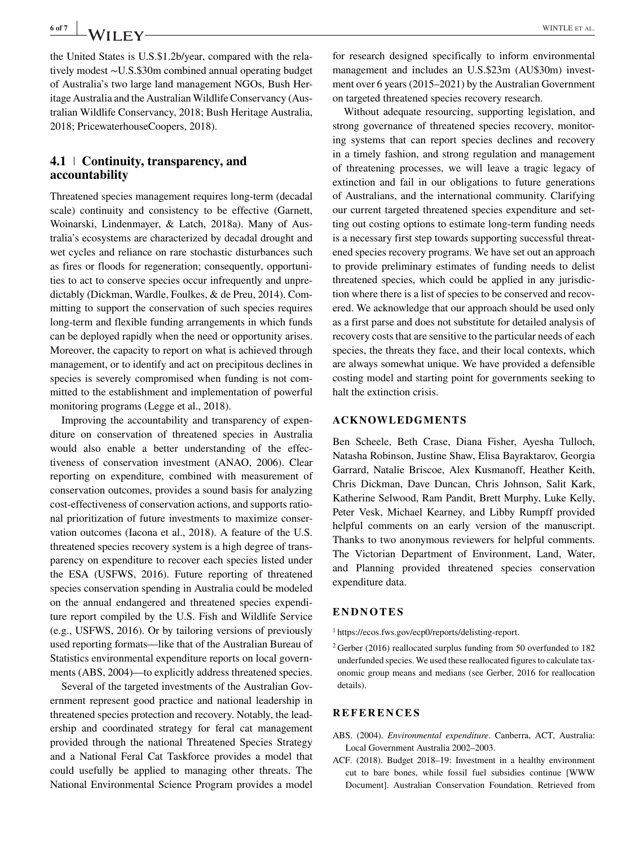the United States is U.S.\$1.2b/year, compared with the relatively modest ∼U.S.\$30m combined annual operating budget of Australia's two large land management NGOs, Bush Heritage Australia and the Australian Wildlife Conservancy (Australian Wildlife Conservancy, 2018; Bush Heritage Australia, 2018; PricewaterhouseCoopers, 2018).

# **4.1 Continuity, transparency, and accountability**

Threatened species management requires long-term (decadal scale) continuity and consistency to be effective (Garnett, Woinarski, Lindenmayer, & Latch, 2018a). Many of Australia's ecosystems are characterized by decadal drought and wet cycles and reliance on rare stochastic disturbances such as fires or floods for regeneration; consequently, opportunities to act to conserve species occur infrequently and unpredictably (Dickman, Wardle, Foulkes, & de Preu, 2014). Committing to support the conservation of such species requires long-term and flexible funding arrangements in which funds can be deployed rapidly when the need or opportunity arises. Moreover, the capacity to report on what is achieved through management, or to identify and act on precipitous declines in species is severely compromised when funding is not committed to the establishment and implementation of powerful monitoring programs (Legge et al., 2018).

Improving the accountability and transparency of expenditure on conservation of threatened species in Australia would also enable a better understanding of the effectiveness of conservation investment (ANAO, 2006). Clear reporting on expenditure, combined with measurement of conservation outcomes, provides a sound basis for analyzing cost-effectiveness of conservation actions, and supports rational prioritization of future investments to maximize conservation outcomes (Iacona et al., 2018). A feature of the U.S. threatened species recovery system is a high degree of transparency on expenditure to recover each species listed under the ESA (USFWS, 2016). Future reporting of threatened species conservation spending in Australia could be modeled on the annual endangered and threatened species expenditure report compiled by the U.S. Fish and Wildlife Service (e.g., USFWS, 2016). Or by tailoring versions of previously used reporting formats—like that of the Australian Bureau of Statistics environmental expenditure reports on local governments (ABS, 2004)—to explicitly address threatened species.

Several of the targeted investments of the Australian Government represent good practice and national leadership in threatened species protection and recovery. Notably, the leadership and coordinated strategy for feral cat management provided through the national Threatened Species Strategy and a National Feral Cat Taskforce provides a model that could usefully be applied to managing other threats. The National Environmental Science Program provides a model for research designed specifically to inform environmental management and includes an U.S.\$23m (AU\$30m) investment over 6 years (2015–2021) by the Australian Government on targeted threatened species recovery research.

Without adequate resourcing, supporting legislation, and strong governance of threatened species recovery, monitoring systems that can report species declines and recovery in a timely fashion, and strong regulation and management of threatening processes, we will leave a tragic legacy of extinction and fail in our obligations to future generations of Australians, and the international community. Clarifying our current targeted threatened species expenditure and setting out costing options to estimate long-term funding needs is a necessary first step towards supporting successful threatened species recovery programs. We have set out an approach to provide preliminary estimates of funding needs to delist threatened species, which could be applied in any jurisdiction where there is a list of species to be conserved and recovered. We acknowledge that our approach should be used only as a first parse and does not substitute for detailed analysis of recovery costs that are sensitive to the particular needs of each species, the threats they face, and their local contexts, which are always somewhat unique. We have provided a defensible costing model and starting point for governments seeking to halt the extinction crisis.

## **ACKNOWLEDGMENTS**

Ben Scheele, Beth Crase, Diana Fisher, Ayesha Tulloch, Natasha Robinson, Justine Shaw, Elisa Bayraktarov, Georgia Garrard, Natalie Briscoe, Alex Kusmanoff, Heather Keith, Chris Dickman, Dave Duncan, Chris Johnson, Salit Kark, Katherine Selwood, Ram Pandit, Brett Murphy, Luke Kelly, Peter Vesk, Michael Kearney, and Libby Rumpff provided helpful comments on an early version of the manuscript. Thanks to two anonymous reviewers for helpful comments. The Victorian Department of Environment, Land, Water, and Planning provided threatened species conservation expenditure data.

## **ENDNOTES**

- <sup>1</sup> [https://ecos.fws.gov/ecp0/reports/delisting-report.](https://ecos.fws.gov/ecp0/reports/delisting-report)
- $2$  Gerber (2016) reallocated surplus funding from 50 overfunded to 182 underfunded species. We used these reallocated figures to calculate taxonomic group means and medians (see Gerber, 2016 for reallocation details).

### **REFERENCES**

- ABS. (2004). *Environmental expenditure*. Canberra, ACT, Australia: Local Government Australia 2002–2003.
- ACF. (2018). Budget 2018–19: Investment in a healthy environment cut to bare bones, while fossil fuel subsidies continue [WWW Document]. Australian Conservation Foundation. Retrieved from